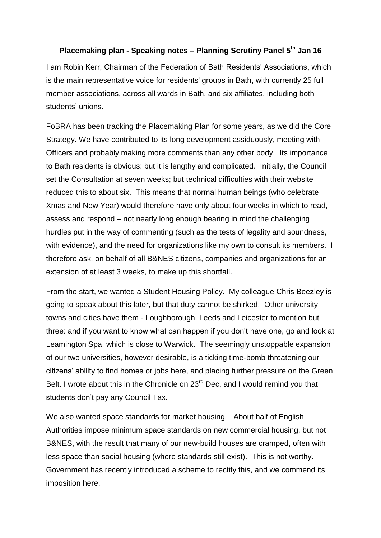## **Placemaking plan - Speaking notes – Planning Scrutiny Panel 5th Jan 16**

I am Robin Kerr, Chairman of the Federation of Bath Residents' Associations, which is the main representative voice for residents' groups in Bath, with currently 25 full member associations, across all wards in Bath, and six affiliates, including both students' unions.

FoBRA has been tracking the Placemaking Plan for some years, as we did the Core Strategy. We have contributed to its long development assiduously, meeting with Officers and probably making more comments than any other body. Its importance to Bath residents is obvious: but it is lengthy and complicated. Initially, the Council set the Consultation at seven weeks; but technical difficulties with their website reduced this to about six. This means that normal human beings (who celebrate Xmas and New Year) would therefore have only about four weeks in which to read, assess and respond – not nearly long enough bearing in mind the challenging hurdles put in the way of commenting (such as the tests of legality and soundness, with evidence), and the need for organizations like my own to consult its members. I therefore ask, on behalf of all B&NES citizens, companies and organizations for an extension of at least 3 weeks, to make up this shortfall.

From the start, we wanted a Student Housing Policy. My colleague Chris Beezley is going to speak about this later, but that duty cannot be shirked. Other university towns and cities have them - Loughborough, Leeds and Leicester to mention but three: and if you want to know what can happen if you don't have one, go and look at Leamington Spa, which is close to Warwick. The seemingly unstoppable expansion of our two universities, however desirable, is a ticking time-bomb threatening our citizens' ability to find homes or jobs here, and placing further pressure on the Green Belt. I wrote about this in the Chronicle on 23<sup>rd</sup> Dec, and I would remind you that students don't pay any Council Tax.

We also wanted space standards for market housing. About half of English Authorities impose minimum space standards on new commercial housing, but not B&NES, with the result that many of our new-build houses are cramped, often with less space than social housing (where standards still exist). This is not worthy. Government has recently introduced a scheme to rectify this, and we commend its imposition here.